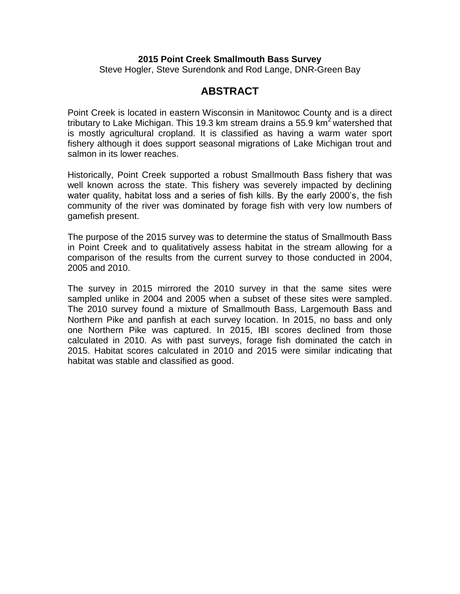### **2015 Point Creek Smallmouth Bass Survey**

Steve Hogler, Steve Surendonk and Rod Lange, DNR-Green Bay

# **ABSTRACT**

Point Creek is located in eastern Wisconsin in Manitowoc County and is a direct tributary to Lake Michigan. This 19.3 km stream drains a 55.9 km<sup>2</sup> watershed that is mostly agricultural cropland. It is classified as having a warm water sport fishery although it does support seasonal migrations of Lake Michigan trout and salmon in its lower reaches.

Historically, Point Creek supported a robust Smallmouth Bass fishery that was well known across the state. This fishery was severely impacted by declining water quality, habitat loss and a series of fish kills. By the early 2000's, the fish community of the river was dominated by forage fish with very low numbers of gamefish present.

The purpose of the 2015 survey was to determine the status of Smallmouth Bass in Point Creek and to qualitatively assess habitat in the stream allowing for a comparison of the results from the current survey to those conducted in 2004, 2005 and 2010.

The survey in 2015 mirrored the 2010 survey in that the same sites were sampled unlike in 2004 and 2005 when a subset of these sites were sampled. The 2010 survey found a mixture of Smallmouth Bass, Largemouth Bass and Northern Pike and panfish at each survey location. In 2015, no bass and only one Northern Pike was captured. In 2015, IBI scores declined from those calculated in 2010. As with past surveys, forage fish dominated the catch in 2015. Habitat scores calculated in 2010 and 2015 were similar indicating that habitat was stable and classified as good.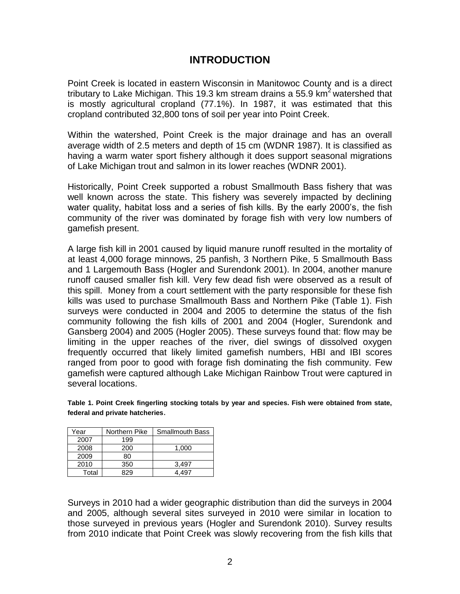# **INTRODUCTION**

Point Creek is located in eastern Wisconsin in Manitowoc County and is a direct tributary to Lake Michigan. This 19.3 km stream drains a 55.9 km<sup>2</sup> watershed that is mostly agricultural cropland (77.1%). In 1987, it was estimated that this cropland contributed 32,800 tons of soil per year into Point Creek.

Within the watershed, Point Creek is the major drainage and has an overall average width of 2.5 meters and depth of 15 cm (WDNR 1987). It is classified as having a warm water sport fishery although it does support seasonal migrations of Lake Michigan trout and salmon in its lower reaches (WDNR 2001).

Historically, Point Creek supported a robust Smallmouth Bass fishery that was well known across the state. This fishery was severely impacted by declining water quality, habitat loss and a series of fish kills. By the early 2000's, the fish community of the river was dominated by forage fish with very low numbers of gamefish present.

A large fish kill in 2001 caused by liquid manure runoff resulted in the mortality of at least 4,000 forage minnows, 25 panfish, 3 Northern Pike, 5 Smallmouth Bass and 1 Largemouth Bass (Hogler and Surendonk 2001). In 2004, another manure runoff caused smaller fish kill. Very few dead fish were observed as a result of this spill. Money from a court settlement with the party responsible for these fish kills was used to purchase Smallmouth Bass and Northern Pike (Table 1). Fish surveys were conducted in 2004 and 2005 to determine the status of the fish community following the fish kills of 2001 and 2004 (Hogler, Surendonk and Gansberg 2004) and 2005 (Hogler 2005). These surveys found that: flow may be limiting in the upper reaches of the river, diel swings of dissolved oxygen frequently occurred that likely limited gamefish numbers, HBI and IBI scores ranged from poor to good with forage fish dominating the fish community. Few gamefish were captured although Lake Michigan Rainbow Trout were captured in several locations.

**Table 1. Point Creek fingerling stocking totals by year and species. Fish were obtained from state, federal and private hatcheries**.

| Year  | Northern Pike | <b>Smallmouth Bass</b> |
|-------|---------------|------------------------|
| 2007  | 199           |                        |
| 2008  | 200           | 1.000                  |
| 2009  | 80            |                        |
| 2010  | 350           | 3.497                  |
| Total | 329           | 4 497                  |

Surveys in 2010 had a wider geographic distribution than did the surveys in 2004 and 2005, although several sites surveyed in 2010 were similar in location to those surveyed in previous years (Hogler and Surendonk 2010). Survey results from 2010 indicate that Point Creek was slowly recovering from the fish kills that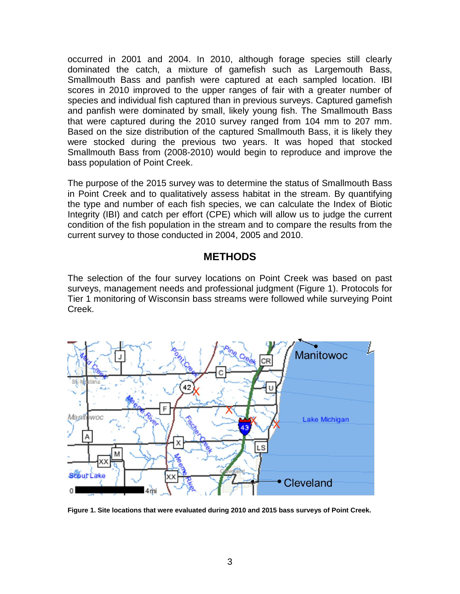occurred in 2001 and 2004. In 2010, although forage species still clearly dominated the catch, a mixture of gamefish such as Largemouth Bass, Smallmouth Bass and panfish were captured at each sampled location. IBI scores in 2010 improved to the upper ranges of fair with a greater number of species and individual fish captured than in previous surveys. Captured gamefish and panfish were dominated by small, likely young fish. The Smallmouth Bass that were captured during the 2010 survey ranged from 104 mm to 207 mm. Based on the size distribution of the captured Smallmouth Bass, it is likely they were stocked during the previous two years. It was hoped that stocked Smallmouth Bass from (2008-2010) would begin to reproduce and improve the bass population of Point Creek.

The purpose of the 2015 survey was to determine the status of Smallmouth Bass in Point Creek and to qualitatively assess habitat in the stream. By quantifying the type and number of each fish species, we can calculate the Index of Biotic Integrity (IBI) and catch per effort (CPE) which will allow us to judge the current condition of the fish population in the stream and to compare the results from the current survey to those conducted in 2004, 2005 and 2010.

# **METHODS**

The selection of the four survey locations on Point Creek was based on past surveys, management needs and professional judgment (Figure 1). Protocols for Tier 1 monitoring of Wisconsin bass streams were followed while surveying Point Creek.



**Figure 1. Site locations that were evaluated during 2010 and 2015 bass surveys of Point Creek.**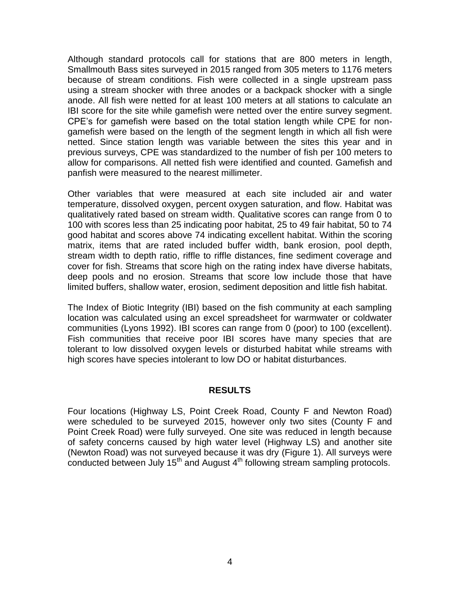Although standard protocols call for stations that are 800 meters in length, Smallmouth Bass sites surveyed in 2015 ranged from 305 meters to 1176 meters because of stream conditions. Fish were collected in a single upstream pass using a stream shocker with three anodes or a backpack shocker with a single anode. All fish were netted for at least 100 meters at all stations to calculate an IBI score for the site while gamefish were netted over the entire survey segment. CPE's for gamefish were based on the total station length while CPE for nongamefish were based on the length of the segment length in which all fish were netted. Since station length was variable between the sites this year and in previous surveys, CPE was standardized to the number of fish per 100 meters to allow for comparisons. All netted fish were identified and counted. Gamefish and panfish were measured to the nearest millimeter.

Other variables that were measured at each site included air and water temperature, dissolved oxygen, percent oxygen saturation, and flow. Habitat was qualitatively rated based on stream width. Qualitative scores can range from 0 to 100 with scores less than 25 indicating poor habitat, 25 to 49 fair habitat, 50 to 74 good habitat and scores above 74 indicating excellent habitat. Within the scoring matrix, items that are rated included buffer width, bank erosion, pool depth, stream width to depth ratio, riffle to riffle distances, fine sediment coverage and cover for fish. Streams that score high on the rating index have diverse habitats, deep pools and no erosion. Streams that score low include those that have limited buffers, shallow water, erosion, sediment deposition and little fish habitat.

The Index of Biotic Integrity (IBI) based on the fish community at each sampling location was calculated using an excel spreadsheet for warmwater or coldwater communities (Lyons 1992). IBI scores can range from 0 (poor) to 100 (excellent). Fish communities that receive poor IBI scores have many species that are tolerant to low dissolved oxygen levels or disturbed habitat while streams with high scores have species intolerant to low DO or habitat disturbances.

#### **RESULTS**

Four locations (Highway LS, Point Creek Road, County F and Newton Road) were scheduled to be surveyed 2015, however only two sites (County F and Point Creek Road) were fully surveyed. One site was reduced in length because of safety concerns caused by high water level (Highway LS) and another site (Newton Road) was not surveyed because it was dry (Figure 1). All surveys were conducted between July 15<sup>th</sup> and August 4<sup>th</sup> following stream sampling protocols.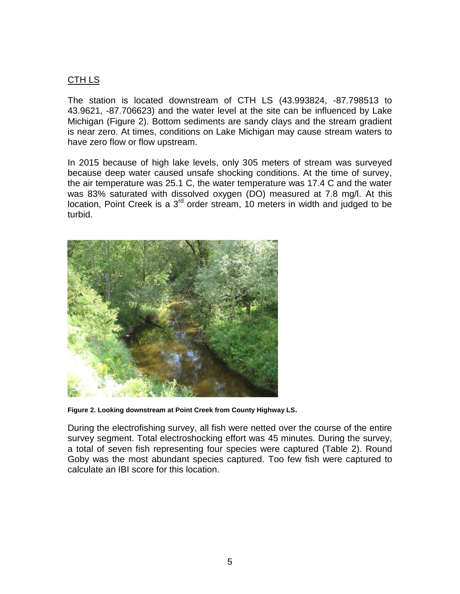## CTH LS

The station is located downstream of CTH LS (43.993824, -87.798513 to 43.9621, -87.706623) and the water level at the site can be influenced by Lake Michigan (Figure 2). Bottom sediments are sandy clays and the stream gradient is near zero. At times, conditions on Lake Michigan may cause stream waters to have zero flow or flow upstream.

In 2015 because of high lake levels, only 305 meters of stream was surveyed because deep water caused unsafe shocking conditions. At the time of survey, the air temperature was 25.1 C, the water temperature was 17.4 C and the water was 83% saturated with dissolved oxygen (DO) measured at 7.8 mg/l. At this location, Point Creek is a  $3<sup>rd</sup>$  order stream, 10 meters in width and judged to be turbid.



**Figure 2. Looking downstream at Point Creek from County Highway LS.**

During the electrofishing survey, all fish were netted over the course of the entire survey segment. Total electroshocking effort was 45 minutes. During the survey, a total of seven fish representing four species were captured (Table 2). Round Goby was the most abundant species captured. Too few fish were captured to calculate an IBI score for this location.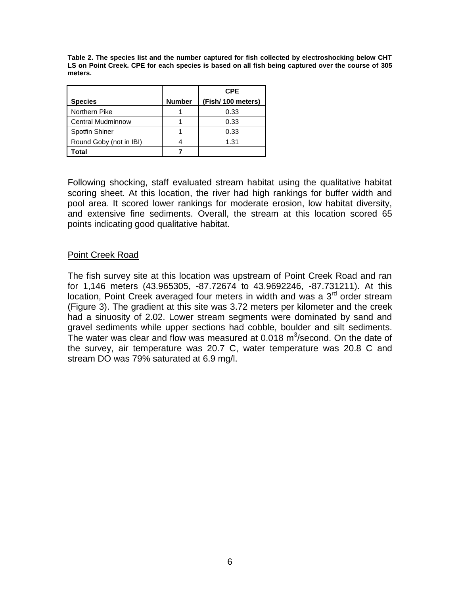**Table 2. The species list and the number captured for fish collected by electroshocking below CHT LS on Point Creek. CPE for each species is based on all fish being captured over the course of 305 meters.**

|                          |               | <b>CPE</b>        |
|--------------------------|---------------|-------------------|
| <b>Species</b>           | <b>Number</b> | (Fish/100 meters) |
| Northern Pike            |               | 0.33              |
| <b>Central Mudminnow</b> |               | 0.33              |
| <b>Spotfin Shiner</b>    |               | 0.33              |
| Round Goby (not in IBI)  |               | 1.31              |
| Гоtal                    |               |                   |

Following shocking, staff evaluated stream habitat using the qualitative habitat scoring sheet. At this location, the river had high rankings for buffer width and pool area. It scored lower rankings for moderate erosion, low habitat diversity, and extensive fine sediments. Overall, the stream at this location scored 65 points indicating good qualitative habitat.

## Point Creek Road

The fish survey site at this location was upstream of Point Creek Road and ran for 1,146 meters (43.965305, -87.72674 to 43.9692246, -87.731211). At this location, Point Creek averaged four meters in width and was a 3<sup>rd</sup> order stream (Figure 3). The gradient at this site was 3.72 meters per kilometer and the creek had a sinuosity of 2.02. Lower stream segments were dominated by sand and gravel sediments while upper sections had cobble, boulder and silt sediments. The water was clear and flow was measured at 0.018 m<sup>3</sup>/second. On the date of the survey, air temperature was 20.7 C, water temperature was 20.8 C and stream DO was 79% saturated at 6.9 mg/l.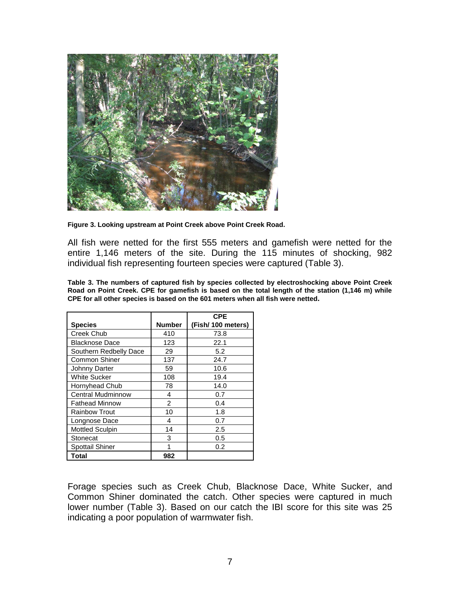

**Figure 3. Looking upstream at Point Creek above Point Creek Road.** 

All fish were netted for the first 555 meters and gamefish were netted for the entire 1,146 meters of the site. During the 115 minutes of shocking, 982 individual fish representing fourteen species were captured (Table 3).

**Table 3. The numbers of captured fish by species collected by electroshocking above Point Creek Road on Point Creek. CPE for gamefish is based on the total length of the station (1,146 m) while CPE for all other species is based on the 601 meters when all fish were netted.** 

|                          |                | <b>CPE</b>         |
|--------------------------|----------------|--------------------|
| <b>Species</b>           | <b>Number</b>  | (Fish/ 100 meters) |
| Creek Chub               | 410            | 73.8               |
| <b>Blacknose Dace</b>    | 123            | 22.1               |
| Southern Redbelly Dace   | 29             | 5.2                |
| <b>Common Shiner</b>     | 137            | 24.7               |
| Johnny Darter            | 59             | 10.6               |
| <b>White Sucker</b>      | 108            | 19.4               |
| Hornyhead Chub           | 78             | 14.0               |
| <b>Central Mudminnow</b> | 4              | 0.7                |
| <b>Fathead Minnow</b>    | $\overline{2}$ | 0.4                |
| <b>Rainbow Trout</b>     | 10             | 1.8                |
| Longnose Dace            | 4              | 0.7                |
| <b>Mottled Sculpin</b>   | 14             | 2.5                |
| Stonecat                 | 3              | 0.5                |
| <b>Spottail Shiner</b>   | 1              | 0.2                |
| <b>Total</b>             | 982            |                    |

Forage species such as Creek Chub, Blacknose Dace, White Sucker, and Common Shiner dominated the catch. Other species were captured in much lower number (Table 3). Based on our catch the IBI score for this site was 25 indicating a poor population of warmwater fish.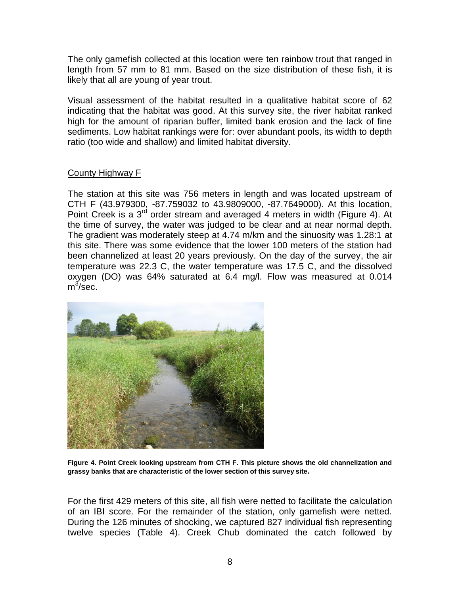The only gamefish collected at this location were ten rainbow trout that ranged in length from 57 mm to 81 mm. Based on the size distribution of these fish, it is likely that all are young of year trout.

Visual assessment of the habitat resulted in a qualitative habitat score of 62 indicating that the habitat was good. At this survey site, the river habitat ranked high for the amount of riparian buffer, limited bank erosion and the lack of fine sediments. Low habitat rankings were for: over abundant pools, its width to depth ratio (too wide and shallow) and limited habitat diversity.

## County Highway F

The station at this site was 756 meters in length and was located upstream of CTH F (43.979300, -87.759032 to 43.9809000, -87.7649000). At this location, Point Creek is a  $3^{rd}$  order stream and averaged 4 meters in width (Figure 4). At the time of survey, the water was judged to be clear and at near normal depth. The gradient was moderately steep at 4.74 m/km and the sinuosity was 1.28:1 at this site. There was some evidence that the lower 100 meters of the station had been channelized at least 20 years previously. On the day of the survey, the air temperature was 22.3 C, the water temperature was 17.5 C, and the dissolved oxygen (DO) was 64% saturated at 6.4 mg/l. Flow was measured at 0.014  $m^3$ /sec.



**Figure 4. Point Creek looking upstream from CTH F. This picture shows the old channelization and grassy banks that are characteristic of the lower section of this survey site.**

For the first 429 meters of this site, all fish were netted to facilitate the calculation of an IBI score. For the remainder of the station, only gamefish were netted. During the 126 minutes of shocking, we captured 827 individual fish representing twelve species (Table 4). Creek Chub dominated the catch followed by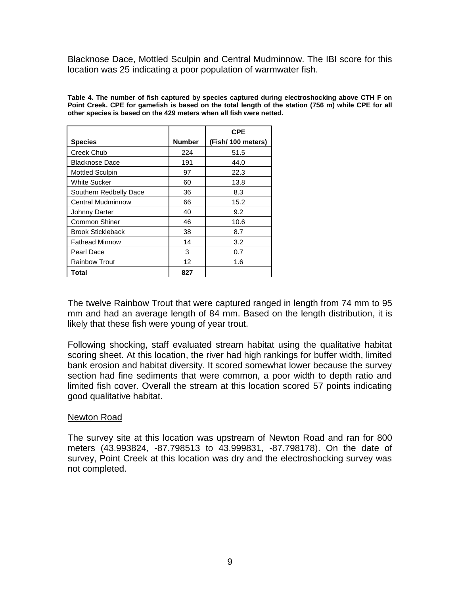Blacknose Dace, Mottled Sculpin and Central Mudminnow. The IBI score for this location was 25 indicating a poor population of warmwater fish.

**Table 4. The number of fish captured by species captured during electroshocking above CTH F on Point Creek. CPE for gamefish is based on the total length of the station (756 m) while CPE for all other species is based on the 429 meters when all fish were netted.** 

|                          |               | <b>CPE</b>        |
|--------------------------|---------------|-------------------|
| <b>Species</b>           | <b>Number</b> | (Fish/100 meters) |
| <b>Creek Chub</b>        | 224           | 51.5              |
| Blacknose Dace           | 191           | 44.0              |
| <b>Mottled Sculpin</b>   | 97            | 22.3              |
| White Sucker             | 60            | 13.8              |
| Southern Redbelly Dace   | 36            | 8.3               |
| <b>Central Mudminnow</b> | 66            | 15.2              |
| Johnny Darter            | 40            | 9.2               |
| Common Shiner            | 46            | 10.6              |
| <b>Brook Stickleback</b> | 38            | 8.7               |
| <b>Fathead Minnow</b>    | 14            | 3.2               |
| Pearl Dace               | 3             | 0.7               |
| <b>Rainbow Trout</b>     | 12            | 1.6               |
| Total                    | 827           |                   |

The twelve Rainbow Trout that were captured ranged in length from 74 mm to 95 mm and had an average length of 84 mm. Based on the length distribution, it is likely that these fish were young of year trout.

Following shocking, staff evaluated stream habitat using the qualitative habitat scoring sheet. At this location, the river had high rankings for buffer width, limited bank erosion and habitat diversity. It scored somewhat lower because the survey section had fine sediments that were common, a poor width to depth ratio and limited fish cover. Overall the stream at this location scored 57 points indicating good qualitative habitat.

#### Newton Road

The survey site at this location was upstream of Newton Road and ran for 800 meters (43.993824, -87.798513 to 43.999831, -87.798178). On the date of survey, Point Creek at this location was dry and the electroshocking survey was not completed.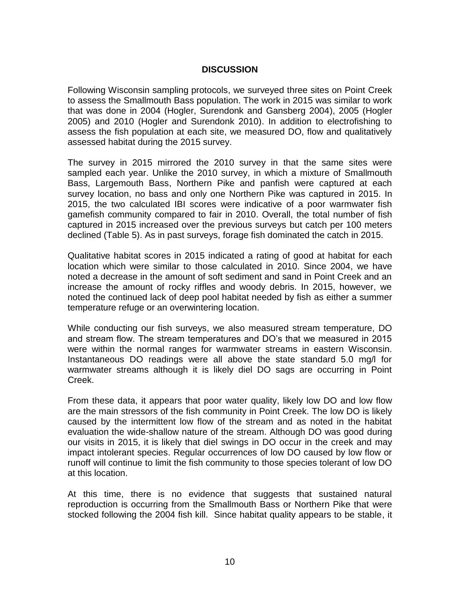## **DISCUSSION**

Following Wisconsin sampling protocols, we surveyed three sites on Point Creek to assess the Smallmouth Bass population. The work in 2015 was similar to work that was done in 2004 (Hogler, Surendonk and Gansberg 2004), 2005 (Hogler 2005) and 2010 (Hogler and Surendonk 2010). In addition to electrofishing to assess the fish population at each site, we measured DO, flow and qualitatively assessed habitat during the 2015 survey.

The survey in 2015 mirrored the 2010 survey in that the same sites were sampled each year. Unlike the 2010 survey, in which a mixture of Smallmouth Bass, Largemouth Bass, Northern Pike and panfish were captured at each survey location, no bass and only one Northern Pike was captured in 2015. In 2015, the two calculated IBI scores were indicative of a poor warmwater fish gamefish community compared to fair in 2010. Overall, the total number of fish captured in 2015 increased over the previous surveys but catch per 100 meters declined (Table 5). As in past surveys, forage fish dominated the catch in 2015.

Qualitative habitat scores in 2015 indicated a rating of good at habitat for each location which were similar to those calculated in 2010. Since 2004, we have noted a decrease in the amount of soft sediment and sand in Point Creek and an increase the amount of rocky riffles and woody debris. In 2015, however, we noted the continued lack of deep pool habitat needed by fish as either a summer temperature refuge or an overwintering location.

While conducting our fish surveys, we also measured stream temperature, DO and stream flow. The stream temperatures and DO's that we measured in 2015 were within the normal ranges for warmwater streams in eastern Wisconsin. Instantaneous DO readings were all above the state standard 5.0 mg/l for warmwater streams although it is likely diel DO sags are occurring in Point Creek.

From these data, it appears that poor water quality, likely low DO and low flow are the main stressors of the fish community in Point Creek. The low DO is likely caused by the intermittent low flow of the stream and as noted in the habitat evaluation the wide-shallow nature of the stream. Although DO was good during our visits in 2015, it is likely that diel swings in DO occur in the creek and may impact intolerant species. Regular occurrences of low DO caused by low flow or runoff will continue to limit the fish community to those species tolerant of low DO at this location.

At this time, there is no evidence that suggests that sustained natural reproduction is occurring from the Smallmouth Bass or Northern Pike that were stocked following the 2004 fish kill. Since habitat quality appears to be stable, it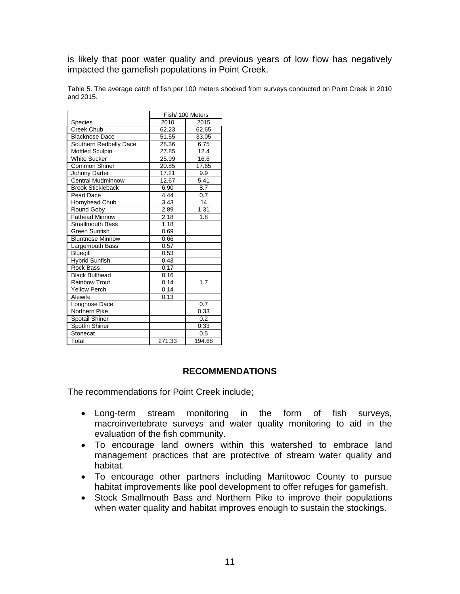is likely that poor water quality and previous years of low flow has negatively impacted the gamefish populations in Point Creek.

Table 5. The average catch of fish per 100 meters shocked from surveys conducted on Point Creek in 2010 and 2015.

|                          | Fish/ 100 Meters |                  |
|--------------------------|------------------|------------------|
| <b>Species</b>           | 2010             | 2015             |
| Creek Chub               | 62.23            | 62.65            |
| <b>Blacknose Dace</b>    | 51.55            | 33.05            |
| Southern Redbelly Dace   | 28.36            | 6.75             |
| <b>Mottled Sculpin</b>   | 27.85            | 12.4             |
| <b>White Sucker</b>      | 25.99            | 16.6             |
| <b>Common Shiner</b>     | 20.85            | 17.65            |
| Johnny Darter            | 17.21            | 9.9              |
| <b>Central Mudminnow</b> | 12.67            | 5.41             |
| <b>Brook Stickleback</b> | 6.90             | 8.7              |
| Pearl Dace               | 4.44             | 0.7              |
| Hornyhead Chub           | 3.43             | 14               |
| Round Goby               | 2.89             | 1.31             |
| <b>Fathead Minnow</b>    | 2.18             | 1.8              |
| Smallmouth Bass          | 1.18             |                  |
| Green Sunfish            | 0.69             |                  |
| <b>Bluntnose Minnow</b>  | 0.66             |                  |
| Largemouth Bass          | 0.57             |                  |
| Bluegill                 | 0.53             |                  |
| <b>Hybrid Sunfish</b>    | 0.43             |                  |
| <b>Rock Bass</b>         | 0.17             |                  |
| <b>Black Bullhead</b>    | 0.16             |                  |
| Rainbow Trout            | 0.14             | 1.7              |
| Yellow Perch             | 0.14             |                  |
| Alewife                  | 0.13             |                  |
| Longnose Dace            |                  | $\overline{0.7}$ |
| Northern Pike            |                  | 0.33             |
| Spotail Shiner           |                  | 0.2              |
| Spotfin Shiner           |                  | 0.33             |
| Stonecat                 |                  | 0.5              |
| Total                    | 271.33           | 194.68           |

## **RECOMMENDATIONS**

The recommendations for Point Creek include;

- Long-term stream monitoring in the form of fish surveys, macroinvertebrate surveys and water quality monitoring to aid in the evaluation of the fish community.
- To encourage land owners within this watershed to embrace land management practices that are protective of stream water quality and habitat.
- To encourage other partners including Manitowoc County to pursue habitat improvements like pool development to offer refuges for gamefish.
- Stock Smallmouth Bass and Northern Pike to improve their populations when water quality and habitat improves enough to sustain the stockings.